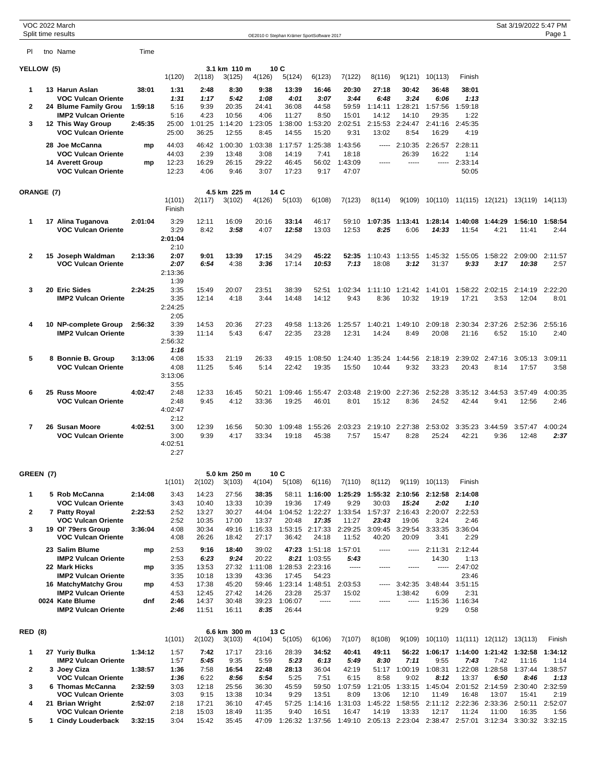|                |            | VOC 2022 March<br>Split time results                                         |         |                                         |                          |                           |                         |                           | OE2010 © Stephan Krämer SportSoftware 2017 |                                                                                          |                           |                                 |                               |                                                  |                         | Sat 3/19/2022 5:47 PM | Page 1          |
|----------------|------------|------------------------------------------------------------------------------|---------|-----------------------------------------|--------------------------|---------------------------|-------------------------|---------------------------|--------------------------------------------|------------------------------------------------------------------------------------------|---------------------------|---------------------------------|-------------------------------|--------------------------------------------------|-------------------------|-----------------------|-----------------|
| PI             |            | tno Name                                                                     | Time    |                                         |                          |                           |                         |                           |                                            |                                                                                          |                           |                                 |                               |                                                  |                         |                       |                 |
|                | YELLOW (5) |                                                                              |         | 1(120)                                  | 2(118)                   | 3.1 km 110 m<br>3(125)    | 4(126)                  | 10C<br>5(124)             | 6(123)                                     | 7(122)                                                                                   | 8(116)                    | 9(121)                          | 10(113)                       | Finish                                           |                         |                       |                 |
| 1              |            | 13 Harun Aslan                                                               | 38:01   | 1:31                                    | 2:48                     | 8:30                      | 9:38                    | 13:39                     | 16:46                                      | 20:30                                                                                    | 27:18                     | 30:42                           | 36:48                         | 38:01                                            |                         |                       |                 |
| 2              |            | <b>VOC Vulcan Oriente</b><br>24 Blume Family Grou                            | 1:59:18 | 1:31<br>5:16                            | 1:17<br>9:39             | 5:42<br>20:35             | 1:08<br>24:41           | 4:01<br>36:08             | 3:07<br>44:58                              | 3:44<br>59:59                                                                            | 6:48<br>1:14:11           | 3:24<br>1:28:21                 | 6:06<br>1:57:56               | 1:13<br>1:59:18                                  |                         |                       |                 |
| 3              |            | <b>IMP2 Vulcan Oriente</b><br>12 This Way Group<br><b>VOC Vulcan Oriente</b> | 2:45:35 | 5:16<br>25:00<br>25:00                  | 4:23<br>1:01:25<br>36:25 | 10:56<br>1:14:20<br>12:55 | 4:06<br>1:23:05<br>8:45 | 11:27<br>1:38:00<br>14:55 | 8:50<br>1:53:20<br>15:20                   | 15:01<br>2:02:51<br>9:31                                                                 | 14:12<br>2:15:53<br>13:02 | 14:10<br>2:24:47<br>8:54        | 29:35<br>2:41:16<br>16:29     | 1:22<br>2:45:35<br>4:19                          |                         |                       |                 |
|                |            | 28 Joe McCanna<br><b>VOC Vulcan Oriente</b>                                  | mp      | 44:03<br>44:03                          | 46:42<br>2:39            | 1:00:30<br>13:48          | 1:03:38<br>3:08         | 1:17:57<br>14:19          | 1:25:38<br>7:41                            | 1:43:56<br>18:18                                                                         |                           | $--- 2:10:35$<br>26:39          | 2:26:57<br>16:22              | 2:28:11<br>1:14                                  |                         |                       |                 |
|                |            | 14 Averett Group<br><b>VOC Vulcan Oriente</b>                                | mp      | 12:23<br>12:23                          | 16:29<br>4:06            | 26:15<br>9:46             | 29:22<br>3:07           | 46:45<br>17:23            | 56:02<br>9:17                              | 1:43:09<br>47:07                                                                         | -----                     | $100 - 100$                     |                               | $-- 2:33:14$<br>50:05                            |                         |                       |                 |
|                | ORANGE (7) |                                                                              |         |                                         |                          | 4.5 km 225 m              |                         | 14 C                      |                                            |                                                                                          |                           |                                 |                               |                                                  |                         |                       |                 |
|                |            |                                                                              |         | 1(101)<br>Finish                        | 2(117)                   | 3(102)                    | 4(126)                  | 5(103)                    | 6(108)                                     | 7(123)                                                                                   | 8(114)                    |                                 |                               | 9(109) 10(110) 11(115) 12(121) 13(119) 14(113)   |                         |                       |                 |
| 1              |            | 17 Alina Tuganova<br><b>VOC Vulcan Oriente</b>                               | 2:01:04 | 3:29<br>3:29<br>2:01:04                 | 12:11<br>8:42            | 16:09<br>3:58             | 20:16<br>4:07           | 33:14<br>12:58            | 46:17<br>13:03                             | 59:10<br>12:53                                                                           | 1:07:35<br>8:25           | 1:13:41<br>6:06                 | 1:28:14<br>14:33              | 1:40:08<br>11:54                                 | 1:44:29<br>4:21         | 1:56:10<br>11:41      | 1:58:54<br>2:44 |
| 2              |            | 15 Joseph Waldman<br><b>VOC Vulcan Oriente</b>                               | 2:13:36 | 2:10<br>2:07<br>2:07<br>2:13:36<br>1:39 | 9:01<br>6:54             | 13:39<br>4:38             | 17:15<br>3:36           | 34:29<br>17:14            | 45:22<br>10:53                             | 52:35<br>7:13                                                                            | 18:08                     | 1:10:43 1:13:55<br>3:12         | 1:45:32<br>31:37              | 1:55:05<br>9:33                                  | 1:58:22<br>3:17         | 2:09:00<br>10:38      | 2:11:57<br>2:57 |
| 3              |            | 20 Eric Sides<br><b>IMP2 Vulcan Oriente</b>                                  | 2:24:25 | 3:35<br>3:35<br>2:24:25<br>2:05         | 15:49<br>12:14           | 20:07<br>4:18             | 23:51<br>3:44           | 38:39<br>14:48            | 52:51<br>14:12                             | 1:02:34<br>9:43                                                                          | 1:11:10<br>8:36           | 1:21:42<br>10:32                | 1:41:01<br>19:19              | 1:58:22<br>17:21                                 | 2:02:15<br>3:53         | 2:14:19<br>12:04      | 2:22:20<br>8:01 |
| 4              |            | 10 NP-complete Group<br><b>IMP2 Vulcan Oriente</b>                           | 2:56:32 | 3:39<br>3:39<br>2:56:32<br>1:16         | 14:53<br>11:14           | 20:36<br>5:43             | 27:23<br>6:47           | 49:58<br>22:35            | 1:13:26<br>23:28                           | 1:25:57<br>12:31                                                                         | 1:40:21<br>14:24          | 1:49:10<br>8:49                 | 2:09:18<br>20:08              | 2:30:34<br>21:16                                 | 2:37:26<br>6:52         | 2:52:36<br>15:10      | 2:55:16<br>2:40 |
| 5              |            | 8 Bonnie B. Group<br><b>VOC Vulcan Oriente</b>                               | 3:13:06 | 4:08<br>4:08<br>3:13:06<br>3:55         | 15:33<br>11:25           | 21:19<br>5:46             | 26:33<br>5:14           | 49:15<br>22:42            | 1:08:50<br>19:35                           | 1:24:40<br>15:50                                                                         | 1:35:24<br>10:44          | 1:44:56<br>9:32                 | 2:18:19<br>33:23              | 20:43                                            | 2:39:02 2:47:16<br>8:14 | 3:05:13<br>17:57      | 3:09:11<br>3:58 |
| 6              |            | 25 Russ Moore<br>VOC Vulcan Oriente                                          | 4:02:47 | 2:48<br>2:48<br>4:02:47<br>2:12         | 12:33<br>9:45            | 16:45<br>4:12             | 50:21<br>33:36          | 1:09:46<br>19:25          | 1:55:47<br>46:01                           | 2:03:48<br>8:01                                                                          | 2:19:00<br>15:12          | 2:27:36<br>8:36                 | 2:52:28<br>24:52              | 42:44                                            | 3:35:12 3:44:53<br>9:41 | 3:57:49<br>12:56      | 4:00:35<br>2:46 |
| $\overline{7}$ |            | 26 Susan Moore<br><b>VOC Vulcan Oriente</b>                                  | 4:02:51 | 3:00<br>3:00<br>4:02:51<br>2:27         | 12:39<br>9:39            | 16:56<br>4:17             | 50:30<br>33:34          | 1:09:48<br>19:18          | 1:55:26<br>45:38                           | 2:03:23<br>7:57                                                                          | 2:19:10<br>15:47          | 2:27:38<br>8:28                 | 2:53:02<br>25:24              | 3:35:23<br>42:21                                 | 3:44:59<br>9:36         | 3:57:47<br>12:48      | 4:00:24<br>2:37 |
|                | GREEN (7)  |                                                                              |         |                                         |                          | 5.0 km 250 m              |                         | 10C                       |                                            |                                                                                          |                           |                                 |                               |                                                  |                         |                       |                 |
| 1              |            | 5 Rob McCanna                                                                | 2:14:08 | 1(101)<br>3:43                          | 2(102)<br>14:23          | 3(103)<br>27:56           | 4(104)<br>38:35         | 5(108)                    | 6(116)                                     | 7(110)<br>58:11 1:16:00 1:25:29                                                          | 8(112)                    | 1:55:32 2:10:56 2:12:58 2:14:08 | 9(119) 10(113)                | Finish                                           |                         |                       |                 |
| 2              |            | <b>VOC Vulcan Oriente</b><br>7 Patty Royal                                   | 2:22:53 | 3:43<br>2:52                            | 10:40<br>13:27           | 13:33<br>30:27            | 10:39<br>44:04          | 19:36                     | 17:49                                      | 9:29<br>1:04:52 1:22:27 1:33:54 1:57:37 2:16:43 2:20:07 2:22:53                          | 30:03                     | 15:24                           | 2:02                          | 1:10                                             |                         |                       |                 |
| 3              |            | <b>VOC Vulcan Oriente</b><br>19 Ol' 79ers Group                              | 3:36:04 | 2:52<br>4:08                            | 10:35<br>30:34           | 17:00<br>49:16            | 13:37<br>1:16:33        | 20:48                     | 17:35<br>1:53:15 2:17:33 2:29:25           | 11:27                                                                                    | 23:43                     | 19:06<br>3:09:45 3:29:54        | 3:24<br>3:33:35               | 2:46<br>3:36:04                                  |                         |                       |                 |
|                |            | <b>VOC Vulcan Oriente</b>                                                    |         | 4:08                                    | 26:26                    | 18:42                     | 27:17                   | 36:42                     | 24:18                                      | 11:52                                                                                    | 40:20                     | 20:09                           | 3:41                          | 2:29                                             |                         |                       |                 |
|                |            | 23 Salim Blume<br><b>IMP2 Vulcan Oriente</b>                                 | mp      | 2:53<br>2:53                            | 9:16<br>6:23             | 18:40<br>9:24             | 39:02<br>20:22          |                           | 47:23 1:51:18<br>8:21 1:03:55              | 1:57:01<br>5:43                                                                          | $- - - - -$               |                                 | $--- 2:11:31$<br>14:30        | 2:12:44<br>1:13                                  |                         |                       |                 |
|                |            | 22 Mark Hicks<br><b>IMP2 Vulcan Oriente</b>                                  | mp      | 3:35<br>3:35                            | 13:53<br>10:18           | 27:32<br>13:39            | 1:11:08<br>43:36        | 17:45                     | 1:28:53 2:23:16<br>54:23                   | -----                                                                                    | -----                     | 1.1.1.1                         |                               | $-- 2:47:02$<br>23:46                            |                         |                       |                 |
|                |            | 16 MatchyMatchy Grou                                                         | mp      | 4:53                                    | 17:38                    | 45:20                     | 59:46                   |                           | 1:23:14 1:48:51                            | 2:03:53                                                                                  | -----                     | 3:42:35                         | 3:48:44                       | 3:51:15                                          |                         |                       |                 |
|                |            | <b>IMP2 Vulcan Oriente</b><br>0024 Kate Blume<br><b>IMP2 Vulcan Oriente</b>  | dnf     | 4:53<br>2:46<br>2:46                    | 12:45<br>14:37<br>11:51  | 27:42<br>30:48<br>16:11   | 14:26<br>39:23<br>8:35  | 23:28<br>1:06:07<br>26:44 | 25:37                                      | 15:02<br>-----                                                                           | -----                     | 1:38:42                         | 6:09<br>----- 1:15:36<br>9:29 | 2:31<br>1:16:34<br>0:58                          |                         |                       |                 |
|                |            |                                                                              |         |                                         |                          |                           |                         |                           |                                            |                                                                                          |                           |                                 |                               |                                                  |                         |                       |                 |
| <b>RED</b> (8) |            |                                                                              |         | 1(101)                                  | 2(102)                   | 6.6 km 300 m<br>3(103)    | 4(104)                  | 13 C<br>5(105)            | 6(106)                                     | 7(107)                                                                                   | 8(108)                    | 9(109)                          |                               | 10(110) 11(111) 12(112) 13(113)                  |                         |                       | Finish          |
| 1              |            | 27 Yuriy Bulka<br><b>IMP2 Vulcan Oriente</b>                                 | 1:34:12 | 1:57<br>1:57                            | 7:42<br>5:45             | 17:17<br>9:35             | 23:16<br>5:59           | 28:39<br>5:23             | 34:52<br>6:13                              | 40:41<br>5:49                                                                            | 49:11<br>8:30             | 7:11                            | 9:55                          | 56:22 1:06:17 1:14:00 1:21:42 1:32:58<br>7:43    | 7:42                    | 11:16                 | 1:34:12<br>1:14 |
| 2              |            | 3 Joey Ciza<br><b>VOC Vulcan Oriente</b>                                     | 1:38:57 | 1:36<br>1:36                            | 7:58<br>6:22             | 16:54<br>8:56             | 22:48<br>5:54           | 28:13<br>5:25             | 36:04<br>7:51                              | 42:19<br>6:15                                                                            | 8:58                      | 51:17 1:00:19 1:08:31<br>9:02   | 8:12                          | 13:37                                            | 1:22:08 1:28:58<br>6:50 | 1:37:44<br>8:46       | 1:38:57<br>1:13 |
| 3              |            | 6 Thomas McCanna                                                             | 2:32:59 | 3:03                                    | 12:18                    | 25:56                     | 36:30                   | 45:59                     | 59:50                                      | 1:07:59                                                                                  | 1:21:05                   | 1:33:15                         | 1:45:04                       |                                                  | 2:01:52 2:14:59         | 2:30:40               | 2:32:59         |
| 4              |            | VOC Vulcan Oriente<br>21 Brian Wright                                        | 2:52:07 | 3:03<br>2:18                            | 9:15<br>17:21            | 13:38<br>36:10            | 10:34<br>47:45          | 9:29<br>57:25             | 13:51                                      | 8:09<br>1:14:16 1:31:03                                                                  | 13:06                     | 12:10                           | 11:49                         | 16:48<br>1:45:22 1:58:55 2:11:12 2:22:36 2:33:36 | 13:07                   | 15:41<br>2:50:11      | 2:19<br>2:52:07 |
| 5              |            | <b>VOC Vulcan Oriente</b><br>1 Cindy Louderback                              | 3:32:15 | 2:18<br>3:04                            | 15:03<br>15:42           | 18:49<br>35:45            | 11:35<br>47:09          | 9:40                      | 16:51                                      | 16:47<br>1:26:32 1:37:56 1:49:10 2:05:13 2:23:04 2:38:47 2:57:01 3:12:34 3:30:32 3:32:15 | 14:19                     | 13:33                           | 12:17                         | 11:24                                            | 11:00                   | 16:35                 | 1:56            |